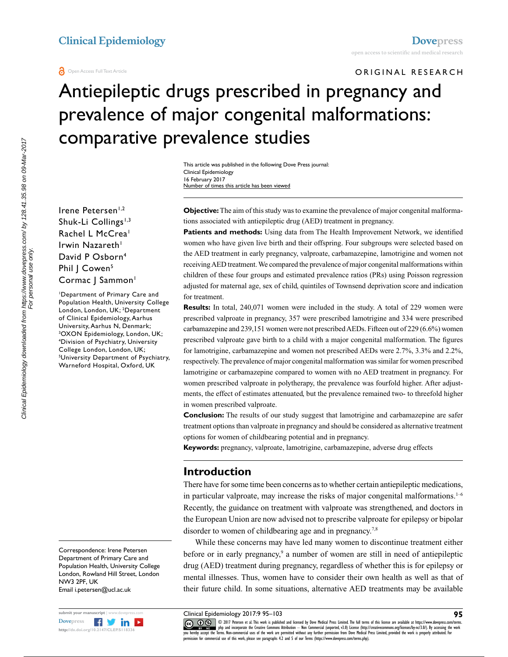ORIGINAL RESEARCH

# Antiepileptic drugs prescribed in pregnancy and prevalence of major congenital malformations: comparative prevalence studies

This article was published in the following Dove Press journal: Clinical Epidemiology 16 February 2017 Number of times this article has been viewed

Irene Petersen<sup>1,2</sup> Shuk-Li Collings<sup>1,3</sup> Rachel L McCrea<sup>1</sup> Irwin Nazareth $<sup>1</sup>$ </sup> David P Osborn4 Phil | Cowen<sup>5</sup> Cormac J Sammon<sup>1</sup>

1 Department of Primary Care and Population Health, University College London, London, UK; 2 Department of Clinical Epidemiology, Aarhus University, Aarhus N, Denmark; 3 OXON Epidemiology, London, UK; 4 Division of Psychiatry, University College London, London, UK; 5 University Department of Psychiatry, Warneford Hospital, Oxford, UK

Correspondence: Irene Petersen Department of Primary Care and Population Health, University College London, Rowland Hill Street, London NW3 2PF, UK Email i.petersen@ucl.ac.uk



**Objective:** The aim of this study was to examine the prevalence of major congenital malformations associated with antiepileptic drug (AED) treatment in pregnancy.

**Patients and methods:** Using data from The Health Improvement Network, we identified women who have given live birth and their offspring. Four subgroups were selected based on the AED treatment in early pregnancy, valproate, carbamazepine, lamotrigine and women not receiving AED treatment. We compared the prevalence of major congenital malformations within children of these four groups and estimated prevalence ratios (PRs) using Poisson regression adjusted for maternal age, sex of child, quintiles of Townsend deprivation score and indication for treatment.

**Results:** In total, 240,071 women were included in the study. A total of 229 women were prescribed valproate in pregnancy, 357 were prescribed lamotrigine and 334 were prescribed carbamazepine and 239,151 women were not prescribed AEDs. Fifteen out of 229 (6.6%) women prescribed valproate gave birth to a child with a major congenital malformation. The figures for lamotrigine, carbamazepine and women not prescribed AEDs were 2.7%, 3.3% and 2.2%, respectively. The prevalence of major congenital malformation was similar for women prescribed lamotrigine or carbamazepine compared to women with no AED treatment in pregnancy. For women prescribed valproate in polytherapy, the prevalence was fourfold higher. After adjustments, the effect of estimates attenuated, but the prevalence remained two- to threefold higher in women prescribed valproate.

**Conclusion:** The results of our study suggest that lamotrigine and carbamazepine are safer treatment options than valproate in pregnancy and should be considered as alternative treatment options for women of childbearing potential and in pregnancy.

**Keywords:** pregnancy, valproate, lamotrigine, carbamazepine, adverse drug effects

# **Introduction**

There have for some time been concerns as to whether certain antiepileptic medications, in particular valproate, may increase the risks of major congenital malformations.<sup>1-6</sup> Recently, the guidance on treatment with valproate was strengthened, and doctors in the European Union are now advised not to prescribe valproate for epilepsy or bipolar disorder to women of childbearing age and in pregnancy.<sup>7,8</sup>

While these concerns may have led many women to discontinue treatment either before or in early pregnancy,<sup>9</sup> a number of women are still in need of antiepileptic drug (AED) treatment during pregnancy, regardless of whether this is for epilepsy or mental illnesses. Thus, women have to consider their own health as well as that of their future child. In some situations, alternative AED treatments may be available

Clinical Epidemiology 2017:9 95–103

COMIZ Petersen et al. This work is published and licensed by Dove Medical Press Limited. The full terms of this license are available at https://www.dovepress.com/terms.<br>You hereby accept the Terms. Non-commercial uses of permission for commercial use of this work, please see paragraphs 4.2 and 5 of our Terms (https://www.dovepress.com/terms.php).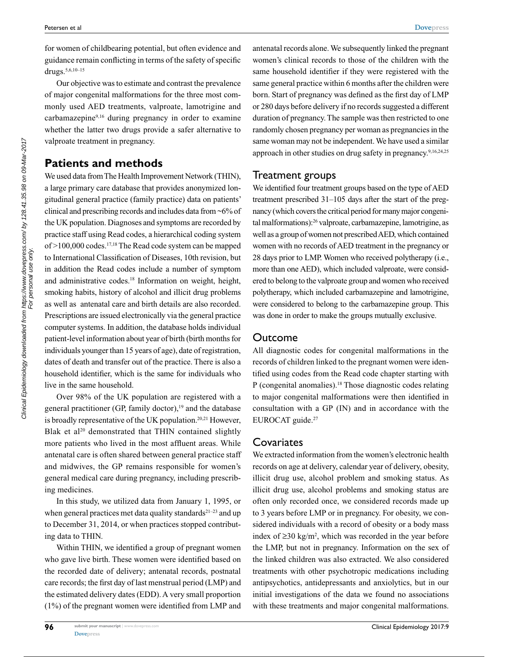for women of childbearing potential, but often evidence and guidance remain conflicting in terms of the safety of specific drugs.5,6,10–15

Our objective was to estimate and contrast the prevalence of major congenital malformations for the three most commonly used AED treatments, valproate, lamotrigine and carbamazepine9,16 during pregnancy in order to examine whether the latter two drugs provide a safer alternative to valproate treatment in pregnancy.

# **Patients and methods**

We used data from The Health Improvement Network (THIN), a large primary care database that provides anonymized longitudinal general practice (family practice) data on patients' clinical and prescribing records and includes data from ~6% of the UK population. Diagnoses and symptoms are recorded by practice staff using Read codes, a hierarchical coding system of >100,000 codes.17,18 The Read code system can be mapped to International Classification of Diseases, 10th revision, but in addition the Read codes include a number of symptom and administrative codes.<sup>18</sup> Information on weight, height, smoking habits, history of alcohol and illicit drug problems as well as antenatal care and birth details are also recorded. Prescriptions are issued electronically via the general practice computer systems. In addition, the database holds individual patient-level information about year of birth (birth months for individuals younger than 15 years of age), date of registration, dates of death and transfer out of the practice. There is also a household identifier, which is the same for individuals who live in the same household.

Over 98% of the UK population are registered with a general practitioner (GP, family doctor), $19$  and the database is broadly representative of the UK population.20,21 However, Blak et al<sup>20</sup> demonstrated that THIN contained slightly more patients who lived in the most affluent areas. While antenatal care is often shared between general practice staff and midwives, the GP remains responsible for women's general medical care during pregnancy, including prescribing medicines.

In this study, we utilized data from January 1, 1995, or when general practices met data quality standards<sup>21-23</sup> and up to December 31, 2014, or when practices stopped contributing data to THIN.

Within THIN, we identified a group of pregnant women who gave live birth. These women were identified based on the recorded date of delivery; antenatal records, postnatal care records; the first day of last menstrual period (LMP) and the estimated delivery dates (EDD). A very small proportion (1%) of the pregnant women were identified from LMP and

antenatal records alone. We subsequently linked the pregnant women's clinical records to those of the children with the same household identifier if they were registered with the same general practice within 6 months after the children were born. Start of pregnancy was defined as the first day of LMP or 280 days before delivery if no records suggested a different duration of pregnancy. The sample was then restricted to one randomly chosen pregnancy per woman as pregnancies in the same woman may not be independent. We have used a similar approach in other studies on drug safety in pregnancy.9,16,24,25

#### Treatment groups

We identified four treatment groups based on the type of AED treatment prescribed 31–105 days after the start of the pregnancy (which covers the critical period for many major congenital malformations):26 valproate, carbamazepine, lamotrigine, as well as a group of women not prescribed AED, which contained women with no records of AED treatment in the pregnancy or 28 days prior to LMP. Women who received polytherapy (i.e., more than one AED), which included valproate, were considered to belong to the valproate group and women who received polytherapy, which included carbamazepine and lamotrigine, were considered to belong to the carbamazepine group. This was done in order to make the groups mutually exclusive.

#### Outcome

All diagnostic codes for congenital malformations in the records of children linked to the pregnant women were identified using codes from the Read code chapter starting with P (congenital anomalies).18 Those diagnostic codes relating to major congenital malformations were then identified in consultation with a GP (IN) and in accordance with the EUROCAT guide.<sup>27</sup>

# **Covariates**

We extracted information from the women's electronic health records on age at delivery, calendar year of delivery, obesity, illicit drug use, alcohol problem and smoking status. As illicit drug use, alcohol problems and smoking status are often only recorded once, we considered records made up to 3 years before LMP or in pregnancy. For obesity, we considered individuals with a record of obesity or a body mass index of  $≥30$  kg/m<sup>2</sup>, which was recorded in the year before the LMP, but not in pregnancy. Information on the sex of the linked children was also extracted. We also considered treatments with other psychotropic medications including antipsychotics, antidepressants and anxiolytics, but in our initial investigations of the data we found no associations with these treatments and major congenital malformations.

**96**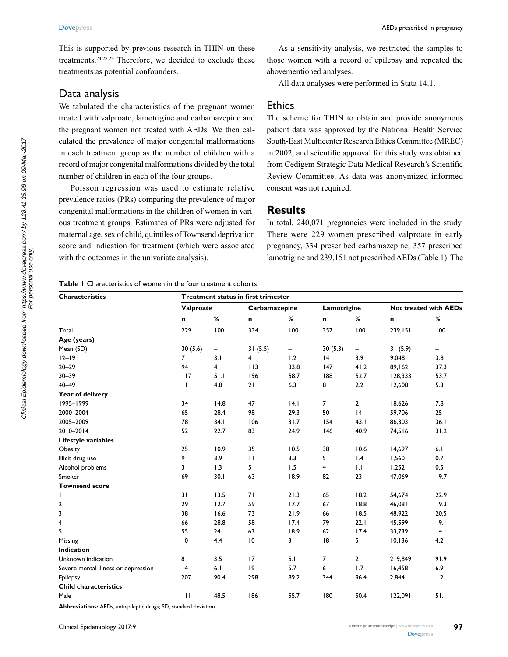This is supported by previous research in THIN on these treatments.24,28,29 Therefore, we decided to exclude these treatments as potential confounders.

# Data analysis

We tabulated the characteristics of the pregnant women treated with valproate, lamotrigine and carbamazepine and the pregnant women not treated with AEDs. We then calculated the prevalence of major congenital malformations in each treatment group as the number of children with a record of major congenital malformations divided by the total number of children in each of the four groups.

Poisson regression was used to estimate relative prevalence ratios (PRs) comparing the prevalence of major congenital malformations in the children of women in various treatment groups. Estimates of PRs were adjusted for maternal age, sex of child, quintiles of Townsend deprivation score and indication for treatment (which were associated with the outcomes in the univariate analysis).

As a sensitivity analysis, we restricted the samples to those women with a record of epilepsy and repeated the abovementioned analyses.

All data analyses were performed in Stata 14.1.

# **Ethics**

The scheme for THIN to obtain and provide anonymous patient data was approved by the National Health Service South-East Multicenter Research Ethics Committee (MREC) in 2002, and scientific approval for this study was obtained from Cedigem Strategic Data Medical Research's Scientific Review Committee. As data was anonymized informed consent was not required.

## **Results**

In total, 240,071 pregnancies were included in the study. There were 229 women prescribed valproate in early pregnancy, 334 prescribed carbamazepine, 357 prescribed lamotrigine and 239,151 not prescribed AEDs (Table 1). The

**Table 1** Characteristics of women in the four treatment cohorts

| <b>Characteristics</b>              | Treatment status in first trimester |      |                         |      |                |                |                              |      |  |
|-------------------------------------|-------------------------------------|------|-------------------------|------|----------------|----------------|------------------------------|------|--|
|                                     | Valproate                           |      | Carbamazepine           |      | Lamotrigine    |                | <b>Not treated with AEDs</b> |      |  |
|                                     | n                                   | $\%$ | n                       | $\%$ | n              | %              | n                            | $\%$ |  |
| Total                               | 229                                 | 100  | 334                     | 100  | 357            | 100            | 239,151                      | 100  |  |
| Age (years)                         |                                     |      |                         |      |                |                |                              |      |  |
| Mean (SD)                           | 30(5.6)                             | -    | 31(5.5)<br>-            |      | 30(5.3)<br>-   |                | 31(5.9)<br>$\qquad \qquad -$ |      |  |
| $12 - 19$                           | $\overline{7}$                      | 3.1  | $\overline{\mathbf{4}}$ | 1.2  | 4              | 3.9            | 9,048                        | 3.8  |  |
| $20 - 29$                           | 94                                  | 41   | 113                     | 33.8 | 147            | 41.2           | 89,162                       | 37.3 |  |
| $30 - 39$                           | 117                                 | 51.1 | 196                     | 58.7 | 188            | 52.7           | 128,333                      | 53.7 |  |
| $40 - 49$                           | П                                   | 4.8  | 21                      | 6.3  | 8              | 2.2            | 12,608                       | 5.3  |  |
| Year of delivery                    |                                     |      |                         |      |                |                |                              |      |  |
| 1995-1999                           | 34                                  | 14.8 | 47                      | 4.1  | $\overline{7}$ | $\overline{2}$ | 18,626                       | 7.8  |  |
| 2000-2004                           | 65                                  | 28.4 | 98                      | 29.3 | 50             | 4              | 59,706                       | 25   |  |
| 2005-2009                           | 78                                  | 34.1 | 106                     | 31.7 | 154            | 43.1           | 86,303                       | 36.1 |  |
| 2010-2014                           | 52                                  | 22.7 | 83                      | 24.9 | 146            | 40.9           | 74,516                       | 31.2 |  |
| Lifestyle variables                 |                                     |      |                         |      |                |                |                              |      |  |
| Obesity                             | 25                                  | 10.9 | 35                      | 10.5 | 38             | 10.6           | 14,697                       | 6.1  |  |
| Illicit drug use                    | 9                                   | 3.9  | $\mathbf{H}$            | 3.3  | 5              | 1.4            | 1,560                        | 0.7  |  |
| Alcohol problems                    | 3                                   | 1.3  | 5                       | 1.5  | 4              | 1.1            | 1,252                        | 0.5  |  |
| Smoker                              | 69                                  | 30.1 | 63                      | 18.9 | 82             | 23             | 47,069                       | 19.7 |  |
| <b>Townsend score</b>               |                                     |      |                         |      |                |                |                              |      |  |
| L                                   | 31                                  | 13.5 | 71                      | 21.3 | 65             | 18.2           | 54,674                       | 22.9 |  |
| 2                                   | 29                                  | 12.7 | 59                      | 17.7 | 67             | 18.8           | 46,081                       | 19.3 |  |
| 3                                   | 38                                  | 16.6 | 73                      | 21.9 | 66             | 18.5           | 48,922                       | 20.5 |  |
| 4                                   | 66                                  | 28.8 | 58                      | 17.4 | 79             | 22.1           | 45,599                       | 19.1 |  |
| 5                                   | 55                                  | 24   | 63                      | 18.9 | 62             | 17.4           | 33,739                       | 4.1  |  |
| Missing                             | 10                                  | 4.4  | $\overline{10}$         | 3    | 18             | 5              | 10,136                       | 4.2  |  |
| <b>Indication</b>                   |                                     |      |                         |      |                |                |                              |      |  |
| Unknown indication                  | 8                                   | 3.5  | 17                      | 5.1  | 7              | $\overline{2}$ | 219,849                      | 91.9 |  |
| Severe mental illness or depression | 4                                   | 6.1  | 9                       | 5.7  | 6              | 1.7            | 16,458                       | 6.9  |  |
| Epilepsy                            | 207                                 | 90.4 | 298                     | 89.2 | 344            | 96.4           | 2,844                        | 1.2  |  |
| <b>Child characteristics</b>        |                                     |      |                         |      |                |                |                              |      |  |
| Male                                | 111                                 | 48.5 | 186                     | 55.7 | 180            | 50.4           | 122,091                      | 51.1 |  |

**Abbreviations:** AEDs, antiepileptic drugs; SD, standard deviation.

**[Dovepress](www.dovepress.com)**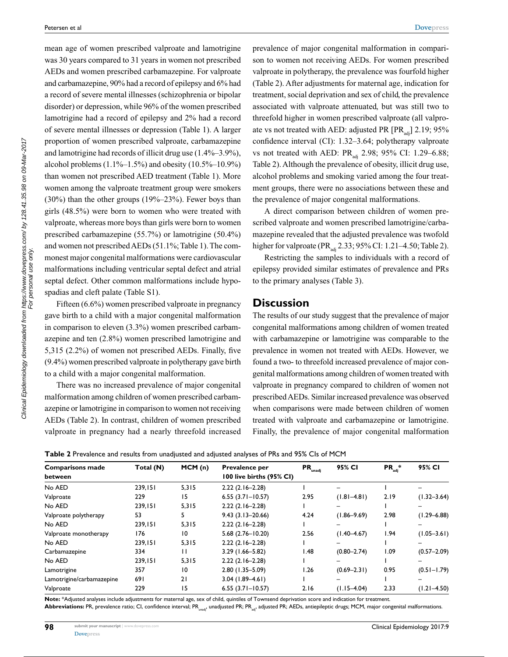mean age of women prescribed valproate and lamotrigine was 30 years compared to 31 years in women not prescribed AEDs and women prescribed carbamazepine. For valproate and carbamazepine, 90% had a record of epilepsy and 6% had a record of severe mental illnesses (schizophrenia or bipolar disorder) or depression, while 96% of the women prescribed lamotrigine had a record of epilepsy and 2% had a record of severe mental illnesses or depression (Table 1). A larger proportion of women prescribed valproate, carbamazepine and lamotrigine had records of illicit drug use (1.4%–3.9%), alcohol problems  $(1.1\% - 1.5\%)$  and obesity  $(10.5\% - 10.9\%)$ than women not prescribed AED treatment (Table 1). More women among the valproate treatment group were smokers (30%) than the other groups (19%–23%). Fewer boys than girls (48.5%) were born to women who were treated with valproate, whereas more boys than girls were born to women prescribed carbamazepine (55.7%) or lamotrigine (50.4%) and women not prescribed AEDs (51.1%; Table 1). The commonest major congenital malformations were cardiovascular malformations including ventricular septal defect and atrial septal defect. Other common malformations include hypospadias and cleft palate (Table S1).

Fifteen (6.6%) women prescribed valproate in pregnancy gave birth to a child with a major congenital malformation in comparison to eleven (3.3%) women prescribed carbamazepine and ten (2.8%) women prescribed lamotrigine and 5,315 (2.2%) of women not prescribed AEDs. Finally, five (9.4%) women prescribed valproate in polytherapy gave birth to a child with a major congenital malformation.

There was no increased prevalence of major congenital malformation among children of women prescribed carbamazepine or lamotrigine in comparison to women not receiving AEDs (Table 2). In contrast, children of women prescribed valproate in pregnancy had a nearly threefold increased prevalence of major congenital malformation in comparison to women not receiving AEDs. For women prescribed valproate in polytherapy, the prevalence was fourfold higher (Table 2). After adjustments for maternal age, indication for treatment, social deprivation and sex of child, the prevalence associated with valproate attenuated, but was still two to threefold higher in women prescribed valproate (all valproate vs not treated with AED: adjusted PR  $[PR_{adi}]$  2.19; 95% confidence interval (CI): 1.32–3.64; polytherapy valproate vs not treated with AED: PR<sub>adj</sub> 2.98; 95% CI: 1.29–6.88; Table 2). Although the prevalence of obesity, illicit drug use, alcohol problems and smoking varied among the four treatment groups, there were no associations between these and the prevalence of major congenital malformations.

A direct comparison between children of women prescribed valproate and women prescribed lamotrigine/carbamazepine revealed that the adjusted prevalence was twofold higher for valproate (PR<sub>adi</sub> 2.33; 95% CI: 1.21–4.50; Table 2).

Restricting the samples to individuals with a record of epilepsy provided similar estimates of prevalence and PRs to the primary analyses (Table 3).

#### **Discussion**

The results of our study suggest that the prevalence of major congenital malformations among children of women treated with carbamazepine or lamotrigine was comparable to the prevalence in women not treated with AEDs. However, we found a two- to threefold increased prevalence of major congenital malformations among children of women treated with valproate in pregnancy compared to children of women not prescribed AEDs. Similar increased prevalence was observed when comparisons were made between children of women treated with valproate and carbamazepine or lamotrigine. Finally, the prevalence of major congenital malformation

| Table 2 Prevalence and results from unadjusted and adjusted analyses of PRs and 95% CIs of MCM |  |  |  |  |  |
|------------------------------------------------------------------------------------------------|--|--|--|--|--|
|------------------------------------------------------------------------------------------------|--|--|--|--|--|

| <b>Comparisons made</b>   | Total (N) | MCM(n) | Prevalence per           | $PR_{\text{unadj}}$ | 95% CI          | $PR_{\text{adj}}^*$ | 95% CI          |
|---------------------------|-----------|--------|--------------------------|---------------------|-----------------|---------------------|-----------------|
| between                   |           |        | 100 live births (95% CI) |                     |                 |                     |                 |
| No AED                    | 239.151   | 5,315  | $2.22(2.16-2.28)$        |                     | -               |                     |                 |
| Valproate                 | 229       | 15     | $6.55(3.71 - 10.57)$     | 2.95                | $(1.81 - 4.81)$ | 2.19                | $(1.32 - 3.64)$ |
| No AED                    | 239,151   | 5,315  | $2.22(2.16-2.28)$        |                     |                 |                     |                 |
| Valproate polytherapy     | 53        | 5      | $9.43(3.13 - 20.66)$     | 4.24                | $(1.86 - 9.69)$ | 2.98                | $(1.29 - 6.88)$ |
| No AED                    | 239,151   | 5,315  | $2.22(2.16-2.28)$        |                     |                 |                     |                 |
| Valproate monotherapy     | 176       | 10     | $5.68(2.76 - 10.20)$     | 2.56                | $(1.40 - 4.67)$ | 1.94                | $(1.05 - 3.61)$ |
| No AED                    | 239,151   | 5,315  | $2.22(2.16-2.28)$        |                     |                 |                     |                 |
| Carbamazepine             | 334       | п      | $3.29$ (1.66-5.82)       | I.48                | $(0.80 - 2.74)$ | 1.09                | $(0.57 - 2.09)$ |
| No AED                    | 239,151   | 5,315  | $2.22(2.16-2.28)$        |                     |                 |                     |                 |
| Lamotrigine               | 357       | 10     | 2.80 (1.35-5.09)         | 1.26                | $(0.69 - 2.31)$ | 0.95                | $(0.51 - 1.79)$ |
| Lamotrigine/carbamazepine | 691       | 21     | $3.04$ (1.89-4.61)       |                     |                 |                     |                 |
| Valproate                 | 229       | 15     | $6.55(3.71 - 10.57)$     | 2.16                | $(1.15 - 4.04)$ | 2.33                | $(1.21 - 4.50)$ |

**Note:** \*Adjusted analyses include adjustments for maternal age, sex of child, quintiles of Townsend deprivation score and indication for treatment. Abbreviations: PR, prevalence ratio; CI, confidence interval; PR<sub>unad</sub>, unadjusted PR; PR<sub>ad</sub>, adjusted PR; AEDs, antiepileptic drugs; MCM, major congenital malformations.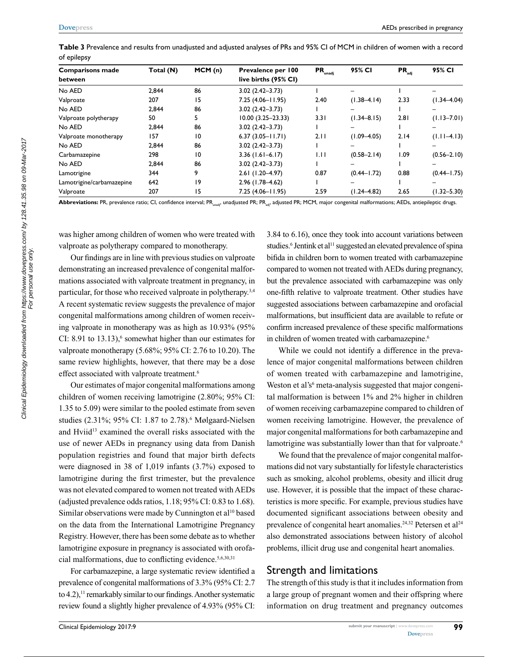**Table 3** Prevalence and results from unadjusted and adjusted analyses of PRs and 95% CI of MCM in children of women with a record of epilepsy

| <b>Comparisons made</b><br>between | Total (N) | MCM(n)          | Prevalence per 100<br>live births (95% CI) | $PR_{\text{unadj}}$ | 95% CI          | $PR_{\text{adj}}$ | 95% CI          |
|------------------------------------|-----------|-----------------|--------------------------------------------|---------------------|-----------------|-------------------|-----------------|
| No AED                             | 2.844     | 86              | $3.02(2.42 - 3.73)$                        |                     |                 |                   |                 |
| Valproate                          | 207       | 15              | $7.25(4.06 - 11.95)$                       | 2.40                | $(1.38 - 4.14)$ | 2.33              | $(1.34 - 4.04)$ |
| No AED                             | 2,844     | 86              | $3.02(2.42 - 3.73)$                        |                     |                 |                   |                 |
| Valproate polytherapy              | 50        | 5               | $10.00(3.25 - 23.33)$                      | 3.31                | $(1.34 - 8.15)$ | 2.81              | $(1.13 - 7.01)$ |
| No AED                             | 2.844     | 86              | $3.02(2.42 - 3.73)$                        |                     |                 |                   |                 |
| Valproate monotherapy              | 157       | $\overline{10}$ | $6.37(3.05 - 11.71)$                       | 2.11                | $(1.09 - 4.05)$ | 2.14              | $(1.11 - 4.13)$ |
| No AED                             | 2.844     | 86              | $3.02(2.42 - 3.73)$                        |                     |                 |                   |                 |
| Carbamazepine                      | 298       | 10              | $3.36(1.61 - 6.17)$                        | 1.11                | $(0.58 - 2.14)$ | 1.09              | $(0.56 - 2.10)$ |
| No AED                             | 2.844     | 86              | $3.02(2.42 - 3.73)$                        |                     |                 |                   |                 |
| Lamotrigine                        | 344       | 9               | $2.61(1.20-4.97)$                          | 0.87                | $(0.44 - 1.72)$ | 0.88              | $(0.44 - 1.75)$ |
| Lamotrigine/carbamazepine          | 642       | 19              | $2.96(1.78 - 4.62)$                        |                     |                 |                   |                 |
| Valproate                          | 207       | 15              | $7.25(4.06 - 11.95)$                       | 2.59                | $(1.24 - 4.82)$ | 2.65              | $(1.32 - 5.30)$ |

Abbreviations: PR, prevalence ratio; CI, confidence interval; PR<sub>unadi</sub>, unadjusted PR; PR<sub>ad</sub>, adjusted PR; MCM, major congenital malformations; AEDs, antiepileptic drugs.

was higher among children of women who were treated with valproate as polytherapy compared to monotherapy.

Our findings are in line with previous studies on valproate demonstrating an increased prevalence of congenital malformations associated with valproate treatment in pregnancy, in particular, for those who received valproate in polytherapy.<sup>3,4</sup> A recent systematic review suggests the prevalence of major congenital malformations among children of women receiving valproate in monotherapy was as high as 10.93% (95% CI: 8.91 to  $13.13$ ,<sup>6</sup> somewhat higher than our estimates for valproate monotherapy (5.68%; 95% CI: 2.76 to 10.20). The same review highlights, however, that there may be a dose effect associated with valproate treatment.<sup>6</sup>

Our estimates of major congenital malformations among children of women receiving lamotrigine (2.80%; 95% CI: 1.35 to 5.09) were similar to the pooled estimate from seven studies (2.31%; 95% CI: 1.87 to 2.78).<sup>6</sup> Mølgaard-Nielsen and Hviid<sup>13</sup> examined the overall risks associated with the use of newer AEDs in pregnancy using data from Danish population registries and found that major birth defects were diagnosed in 38 of 1,019 infants (3.7%) exposed to lamotrigine during the first trimester, but the prevalence was not elevated compared to women not treated with AEDs (adjusted prevalence odds ratios, 1.18; 95% CI: 0.83 to 1.68). Similar observations were made by Cunnington et al<sup>10</sup> based on the data from the International Lamotrigine Pregnancy Registry. However, there has been some debate as to whether lamotrigine exposure in pregnancy is associated with orofacial malformations, due to conflicting evidence.5,6,30,31

For carbamazepine, a large systematic review identified a prevalence of congenital malformations of 3.3% (95% CI: 2.7 to  $(4.2)$ ,<sup>11</sup> remarkably similar to our findings. Another systematic review found a slightly higher prevalence of 4.93% (95% CI: 3.84 to 6.16), once they took into account variations between studies.<sup>6</sup> Jentink et al<sup>11</sup> suggested an elevated prevalence of spina bifida in children born to women treated with carbamazepine compared to women not treated with AEDs during pregnancy, but the prevalence associated with carbamazepine was only one-fifth relative to valproate treatment. Other studies have suggested associations between carbamazepine and orofacial malformations, but insufficient data are available to refute or confirm increased prevalence of these specific malformations in children of women treated with carbamazepine.<sup>6</sup>

While we could not identify a difference in the prevalence of major congenital malformations between children of women treated with carbamazepine and lamotrigine, Weston et al's<sup>6</sup> meta-analysis suggested that major congenital malformation is between 1% and 2% higher in children of women receiving carbamazepine compared to children of women receiving lamotrigine. However, the prevalence of major congenital malformations for both carbamazepine and lamotrigine was substantially lower than that for valproate.<sup>6</sup>

We found that the prevalence of major congenital malformations did not vary substantially for lifestyle characteristics such as smoking, alcohol problems, obesity and illicit drug use. However, it is possible that the impact of these characteristics is more specific. For example, previous studies have documented significant associations between obesity and prevalence of congenital heart anomalies.<sup>24,32</sup> Petersen et al<sup>24</sup> also demonstrated associations between history of alcohol problems, illicit drug use and congenital heart anomalies.

## Strength and limitations

The strength of this study is that it includes information from a large group of pregnant women and their offspring where information on drug treatment and pregnancy outcomes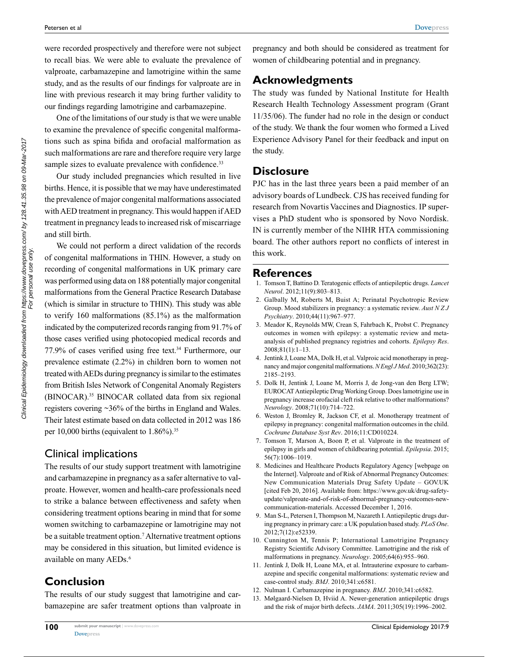were recorded prospectively and therefore were not subject to recall bias. We were able to evaluate the prevalence of valproate, carbamazepine and lamotrigine within the same study, and as the results of our findings for valproate are in line with previous research it may bring further validity to our findings regarding lamotrigine and carbamazepine.

One of the limitations of our study is that we were unable to examine the prevalence of specific congenital malformations such as spina bifida and orofacial malformation as such malformations are rare and therefore require very large sample sizes to evaluate prevalence with confidence.<sup>33</sup>

Our study included pregnancies which resulted in live births. Hence, it is possible that we may have underestimated the prevalence of major congenital malformations associated with AED treatment in pregnancy. This would happen if AED treatment in pregnancy leads to increased risk of miscarriage and still birth.

We could not perform a direct validation of the records of congenital malformations in THIN. However, a study on recording of congenital malformations in UK primary care was performed using data on 188 potentially major congenital malformations from the General Practice Research Database (which is similar in structure to THIN). This study was able to verify 160 malformations (85.1%) as the malformation indicated by the computerized records ranging from 91.7% of those cases verified using photocopied medical records and 77.9% of cases verified using free text.34 Furthermore, our prevalence estimate (2.2%) in children born to women not treated with AEDs during pregnancy is similar to the estimates from British Isles Network of Congenital Anomaly Registers (BINOCAR).35 BINOCAR collated data from six regional registers covering ~36% of the births in England and Wales. Their latest estimate based on data collected in 2012 was 186 per 10,000 births (equivalent to  $1.86\%$ ).<sup>35</sup>

#### Clinical implications

The results of our study support treatment with lamotrigine and carbamazepine in pregnancy as a safer alternative to valproate. However, women and health-care professionals need to strike a balance between effectiveness and safety when considering treatment options bearing in mind that for some women switching to carbamazepine or lamotrigine may not be a suitable treatment option.<sup>7</sup> Alternative treatment options may be considered in this situation, but limited evidence is available on many AEDs.<sup>6</sup>

# **Conclusion**

The results of our study suggest that lamotrigine and carbamazepine are safer treatment options than valproate in pregnancy and both should be considered as treatment for women of childbearing potential and in pregnancy.

# **Acknowledgments**

The study was funded by National Institute for Health Research Health Technology Assessment program (Grant 11/35/06). The funder had no role in the design or conduct of the study. We thank the four women who formed a Lived Experience Advisory Panel for their feedback and input on the study.

# **Disclosure**

PJC has in the last three years been a paid member of an advisory boards of Lundbeck. CJS has received funding for research from Novartis Vaccines and Diagnostics. IP supervises a PhD student who is sponsored by Novo Nordisk. IN is currently member of the NIHR HTA commissioning board. The other authors report no conflicts of interest in this work.

#### **References**

- 1. Tomson T, Battino D. Teratogenic effects of antiepileptic drugs. *Lancet Neurol*. 2012;11(9):803–813.
- 2. Galbally M, Roberts M, Buist A; Perinatal Psychotropic Review Group. Mood stabilizers in pregnancy: a systematic review. *Aust N Z J Psychiatry*. 2010;44(11):967–977.
- 3. Meador K, Reynolds MW, Crean S, Fahrbach K, Probst C. Pregnancy outcomes in women with epilepsy: a systematic review and metaanalysis of published pregnancy registries and cohorts. *Epilepsy Res*. 2008;81(1):1–13.
- 4. Jentink J, Loane MA, Dolk H, et al. Valproic acid monotherapy in pregnancy and major congenital malformations. *N Engl J Med*. 2010;362(23): 2185–2193.
- 5. Dolk H, Jentink J, Loane M, Morris J, de Jong-van den Berg LTW; EUROCAT Antiepileptic Drug Working Group. Does lamotrigine use in pregnancy increase orofacial cleft risk relative to other malformations? *Neurology*. 2008;71(10):714–722.
- 6. Weston J, Bromley R, Jackson CF, et al. Monotherapy treatment of epilepsy in pregnancy: congenital malformation outcomes in the child. *Cochrane Database Syst Rev*. 2016;11:CD010224.
- 7. Tomson T, Marson A, Boon P, et al. Valproate in the treatment of epilepsy in girls and women of childbearing potential. *Epilepsia*. 2015; 56(7):1006–1019.
- 8. Medicines and Healthcare Products Regulatory Agency [webpage on the Internet]. Valproate and of Risk of Abnormal Pregnancy Outcomes: New Communication Materials Drug Safety Update – GOV.UK [cited Feb 20, 2016]. Available from: https://www.gov.uk/drug-safetyupdate/valproate-and-of-risk-of-abnormal-pregnancy-outcomes-newcommunication-materials. Accessed December 1, 2016.
- 9. Man S-L, Petersen I, Thompson M, Nazareth I. Antiepileptic drugs during pregnancy in primary care: a UK population based study. *PLoS One*. 2012;7(12):e52339.
- 10. Cunnington M, Tennis P; International Lamotrigine Pregnancy Registry Scientific Advisory Committee. Lamotrigine and the risk of malformations in pregnancy. *Neurology*. 2005;64(6):955–960.
- 11. Jentink J, Dolk H, Loane MA, et al. Intrauterine exposure to carbamazepine and specific congenital malformations: systematic review and case-control study. *BMJ*. 2010;341:c6581.
- 12. Nulman I. Carbamazepine in pregnancy. *BMJ*. 2010;341:c6582.
- 13. Mølgaard-Nielsen D, Hviid A. Newer-generation antiepileptic drugs and the risk of major birth defects. *JAMA*. 2011;305(19):1996–2002.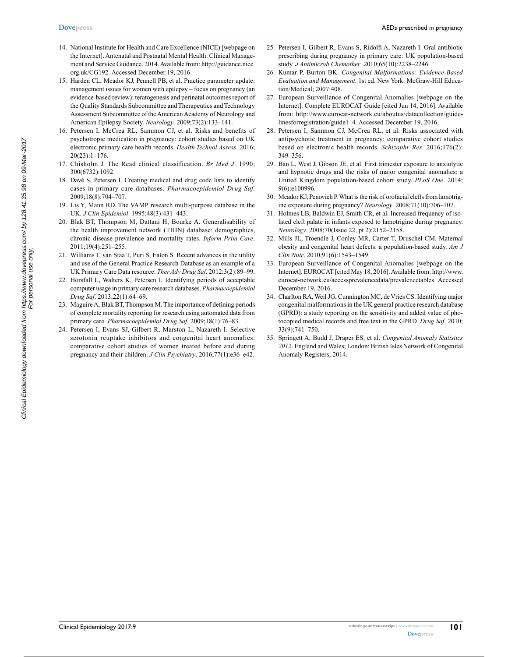- 14. National Institute for Health and Care Excellence (NICE) [webpage on the Internet]. Antenatal and Postnatal Mental Health: Clinical Management and Service Guidance. 2014. Available from: http://guidance.nice. org.uk/CG192. Accessed December 19, 2016.
- 15. Harden CL, Meador KJ, Pennell PB, et al. Practice parameter update: management issues for women with epilepsy – focus on pregnancy (an evidence-based review): teratogenesis and perinatal outcomes report of the Quality Standards Subcommittee and Therapeutics and Technology Assessment Subcommittee of the American Academy of Neurology and American Epilepsy Society. *Neurology*. 2009;73(2):133–141.
- 16. Petersen I, McCrea RL, Sammon CJ, et al. Risks and benefits of psychotropic medication in pregnancy: cohort studies based on UK electronic primary care health records. *Health Technol Assess*. 2016; 20(23):1–176.
- 17. Chisholm J. The Read clinical classification. *Br Med J*. 1990; 300(6732):1092.
- 18. Davé S, Petersen I. Creating medical and drug code lists to identify cases in primary care databases. *Pharmacoepidemiol Drug Saf*. 2009;18(8):704–707.
- 19. Lis Y, Mann RD. The VAMP research multi-purpose database in the UK. *J Clin Epidemiol*. 1995;48(3):431–443.
- 20. Blak BT, Thompson M, Dattani H, Bourke A. Generalisability of the health improvement network (THIN) database: demographics, chronic disease prevalence and mortality rates. *Inform Prim Care*. 2011;19(4):251–255.
- 21. Williams T, van Staa T, Puri S, Eaton S. Recent advances in the utility and use of the General Practice Research Database as an example of a UK Primary Care Data resource. *Ther Adv Drug Saf*. 2012;3(2):89–99.
- 22. Horsfall L, Walters K, Petersen I. Identifying periods of acceptable computer usage in primary care research databases. *Pharmacoepidemiol Drug Saf*. 2013;22(1):64–69.
- 23. Maguire A, Blak BT, Thompson M. The importance of defining periods of complete mortality reporting for research using automated data from primary care. *Pharmacoepidemiol Drug Saf*. 2009;18(1):76–83.
- 24. Petersen I, Evans SJ, Gilbert R, Marston L, Nazareth I. Selective serotonin reuptake inhibitors and congenital heart anomalies: comparative cohort studies of women treated before and during pregnancy and their children. *J Clin Psychiatry*. 2016;77(1):e36–e42.
- 25. Petersen I, Gilbert R, Evans S, Ridolfi A, Nazareth I. Oral antibiotic prescribing during pregnancy in primary care: UK population-based study. *J Antimicrob Chemother*. 2010;65(10):2238–2246.
- 26. Kumar P, Burton BK. *Congenital Malformations: Evidence-Based Evaluation and Management*. 1st ed. New York: McGraw-Hill Education/Medical; 2007:408.
- 27. European Surveillance of Congenital Anomalies [webpage on the Internet]. Complete EUROCAT Guide [cited Jun 14, 2016]. Available from: http://www.eurocat-network.eu/aboutus/datacollection/guidelinesforregistration/guide1\_4. Accessed December 19, 2016.
- 28. Petersen I, Sammon CJ, McCrea RL, et al. Risks associated with antipsychotic treatment in pregnancy: comparative cohort studies based on electronic health records. *Schizophr Res*. 2016;176(2): 349–356.
- 29. Ban L, West J, Gibson JE, et al. First trimester exposure to anxiolytic and hypnotic drugs and the risks of major congenital anomalies: a United Kingdom population-based cohort study. *PLoS One*. 2014; 9(6):e100996.
- 30. Meador KJ, Penovich P. What is the risk of orofacial clefts from lamotrigine exposure during pregnancy? *Neurology*. 2008;71(10):706–707.
- 31. Holmes LB, Baldwin EJ, Smith CR, et al. Increased frequency of isolated cleft palate in infants exposed to lamotrigine during pregnancy. *Neurology*. 2008;70(Issue 22, pt 2):2152–2158.
- 32. Mills JL, Troendle J, Conley MR, Carter T, Druschel CM. Maternal obesity and congenital heart defects: a population-based study. *Am J Clin Nutr*. 2010;91(6):1543–1549.
- 33. European Surveillance of Congenital Anomalies [webpage on the Internet]. EUROCAT [cited May 18, 2016]. Available from: http://www. eurocat-network.eu/accessprevalencedata/prevalencetables. Accessed December 19, 2016.
- 34. Charlton RA, Weil JG, Cunnington MC, de Vries CS. Identifying major congenital malformations in the UK general practice research database (GPRD): a study reporting on the sensitivity and added value of photocopied medical records and free text in the GPRD. *Drug Saf*. 2010; 33(9):741–750.
- 35. Springett A, Budd J, Draper ES, et al. *Congenital Anomaly Statistics 2012*. England and Wales; London: British Isles Network of Congenital Anomaly Registers; 2014.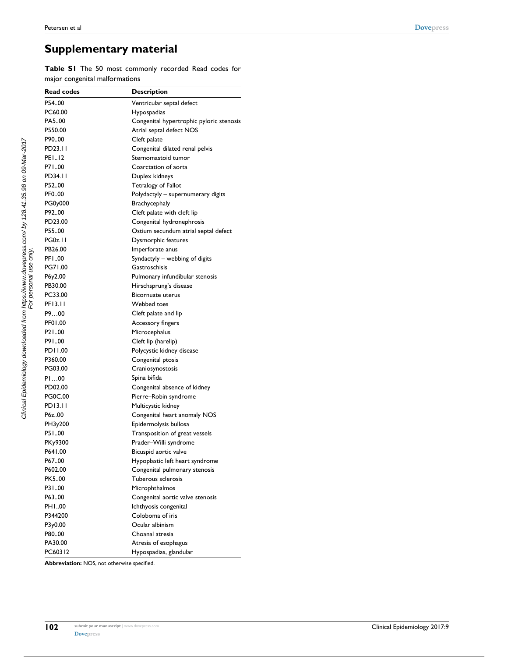# **Supplementary material**

**Table S1** The 50 most commonly recorded Read codes for major congenital malformations

| <b>Read codes</b> | <b>Description</b>                       |
|-------------------|------------------------------------------|
| P54.00            | Ventricular septal defect                |
| PC60.00           | Hypospadias                              |
| PA500             | Congenital hypertrophic pyloric stenosis |
| P550.00           | Atrial septal defect NOS                 |
| P9000             | Cleft palate                             |
| PD23.11           | Congenital dilated renal pelvis          |
| PE112             | Sternomastoid tumor                      |
| P7100             | Coarctation of aorta                     |
| PD34.11           | Duplex kidneys                           |
| P5200             | Tetralogy of Fallot                      |
| PF000             | Polydactyly - supernumerary digits       |
| PG0y000           | Brachycephaly                            |
| P9200             | Cleft palate with cleft lip              |
| PD23.00           | Congenital hydronephrosis                |
| P5500             | Ostium secundum atrial septal defect     |
| <b>PG0z.11</b>    | Dysmorphic features                      |
| PB26.00           | Imperforate anus                         |
| PF100             | Syndactyly – webbing of digits           |
| PG71.00           | Gastroschisis                            |
| P6y2.00           | Pulmonary infundibular stenosis          |
| PB30.00           | Hirschsprung's disease                   |
| PC33.00           | <b>Bicornuate uterus</b>                 |
| PF13.11           | Webbed toes                              |
| P900              | Cleft palate and lip                     |
| PF01.00           | Accessory fingers                        |
| P2100             | Microcephalus                            |
| P9100             | Cleft lip (harelip)                      |
| PD11.00           | Polycystic kidney disease                |
| P360.00           | Congenital ptosis                        |
| PG03.00           | Craniosynostosis                         |
| PI00              | Spina bifida                             |
| PD02.00           | Congenital absence of kidney             |
| <b>PG0C.00</b>    | Pierre-Robin syndrome                    |
| PD13.11           | Multicystic kidney                       |
| P6z00             | Congenital heart anomaly NOS             |
| PH3y200           | Epidermolysis bullosa                    |
| P5100             | Transposition of great vessels           |
| PKy9300           | Prader-Willi syndrome                    |
| P641.00           | Bicuspid aortic valve                    |
| P6700             | Hypoplastic left heart syndrome          |
| P602.00           | Congenital pulmonary stenosis            |
| PK500             | Tuberous sclerosis                       |
| P3100             | Microphthalmos                           |
| P63.00            | Congenital aortic valve stenosis         |
| PH100             | Ichthyosis congenital                    |
| P344200           | Coloboma of iris                         |
| P3y0.00           | Ocular albinism                          |
| P8000             | Choanal atresia                          |
| PA30.00           | Atresia of esophagus                     |
| PC60312           | Hypospadias, glandular                   |

**Abbreviation:** NOS, not otherwise specified.